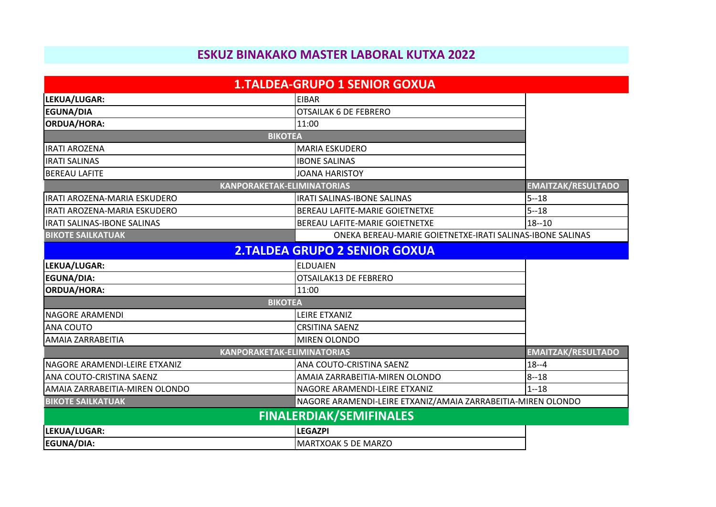## **ESKUZ BINAKAKO MASTER LABORAL KUTXA 2022**

|                                        | <b>1.TALDEA-GRUPO 1 SENIOR GOXUA</b>                         |                           |
|----------------------------------------|--------------------------------------------------------------|---------------------------|
| LEKUA/LUGAR:                           | <b>EIBAR</b>                                                 |                           |
| <b>EGUNA/DIA</b>                       | <b>OTSAILAK 6 DE FEBRERO</b>                                 |                           |
| <b>ORDUA/HORA:</b>                     | 11:00                                                        |                           |
| <b>BIKOTEA</b>                         |                                                              |                           |
| <b>IRATI AROZENA</b>                   | <b>MARIA ESKUDERO</b>                                        |                           |
| <b>IRATI SALINAS</b>                   | <b>IBONE SALINAS</b>                                         |                           |
| <b>BEREAU LAFITE</b>                   | <b>JOANA HARISTOY</b>                                        |                           |
| <b>KANPORAKETAK-ELIMINATORIAS</b>      |                                                              | <b>EMAITZAK/RESULTADO</b> |
| IRATI AROZENA-MARIA ESKUDERO           | <b>IRATI SALINAS-IBONE SALINAS</b>                           | $5 - 18$                  |
| IRATI AROZENA-MARIA ESKUDERO           | <b>BEREAU LAFITE-MARIE GOIETNETXE</b>                        | $5 - 18$                  |
| <b>IRATI SALINAS-IBONE SALINAS</b>     | <b>BEREAU LAFITE-MARIE GOIETNETXE</b>                        | $18 - 10$                 |
| <b>BIKOTE SAILKATUAK</b>               | ONEKA BEREAU-MARIE GOIETNETXE-IRATI SALINAS-IBONE SALINAS    |                           |
|                                        | <b>2.TALDEA GRUPO 2 SENIOR GOXUA</b>                         |                           |
| LEKUA/LUGAR:                           | <b>ELDUAIEN</b>                                              |                           |
| EGUNA/DIA:                             | <b>OTSAILAK13 DE FEBRERO</b>                                 |                           |
| <b>ORDUA/HORA:</b>                     | 11:00                                                        |                           |
| <b>BIKOTEA</b>                         |                                                              |                           |
| <b>NAGORE ARAMENDI</b>                 | LEIRE ETXANIZ                                                |                           |
| <b>ANA COUTO</b>                       | <b>CRSITINA SAENZ</b>                                        |                           |
| <b>AMAIA ZARRABEITIA</b>               | MIREN OLONDO                                                 |                           |
| <b>KANPORAKETAK-ELIMINATORIAS</b>      |                                                              | <b>EMAITZAK/RESULTADO</b> |
| <b>I</b> NAGORE ARAMENDI-LEIRE ETXANIZ | ANA COUTO-CRISTINA SAENZ                                     | $18 - -4$                 |
| ANA COUTO-CRISTINA SAENZ               | AMAIA ZARRABEITIA-MIREN OLONDO                               | $8 - 18$                  |
| AMAIA ZARRABEITIA-MIREN OLONDO         | NAGORE ARAMENDI-LEIRE ETXANIZ                                | $1 - 18$                  |
| <b>BIKOTE SAILKATUAK</b>               | NAGORE ARAMENDI-LEIRE ETXANIZ/AMAIA ZARRABEITIA-MIREN OLONDO |                           |
|                                        | <b>FINALERDIAK/SEMIFINALES</b>                               |                           |
| LEKUA/LUGAR:                           | <b>LEGAZPI</b>                                               |                           |
| EGUNA/DIA:                             | MARTXOAK 5 DE MARZO                                          |                           |